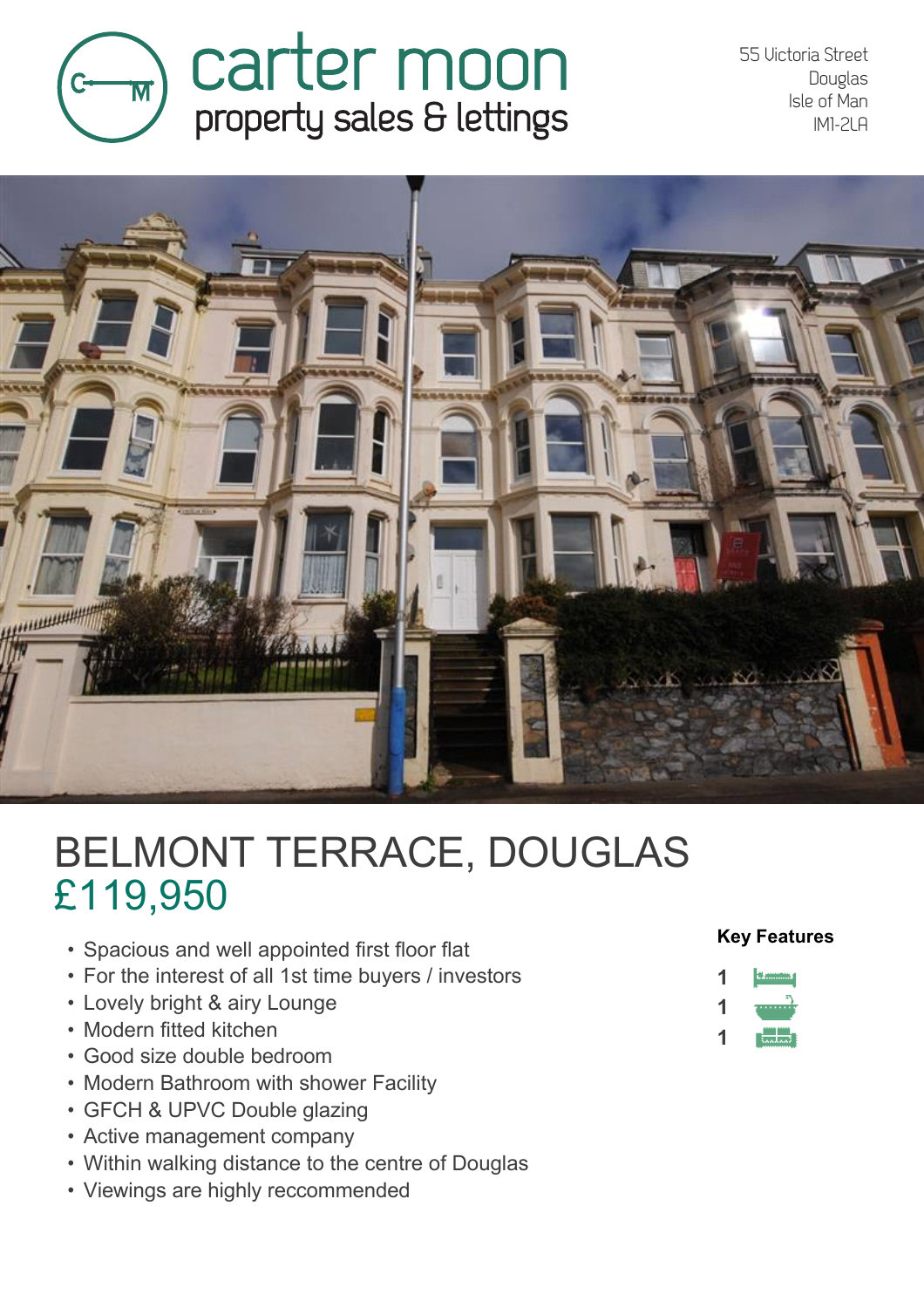

# Carter moon

55 Victoria Street Douglas Isle of Man IM1-2LA



## BELMONT TERRACE, DOUGLAS £119,950

- Spacious and well appointed first floor flat
- For the interest of all 1st time buyers / investors
- Lovely bright & airy Lounge
- Modern fitted kitchen
- Good size double bedroom
- Modern Bathroom with shower Facility
- GFCH & UPVC Double glazing
- Active management company
- Within walking distance to the centre of Douglas
- Viewings are highly reccommended

### **Key Features**

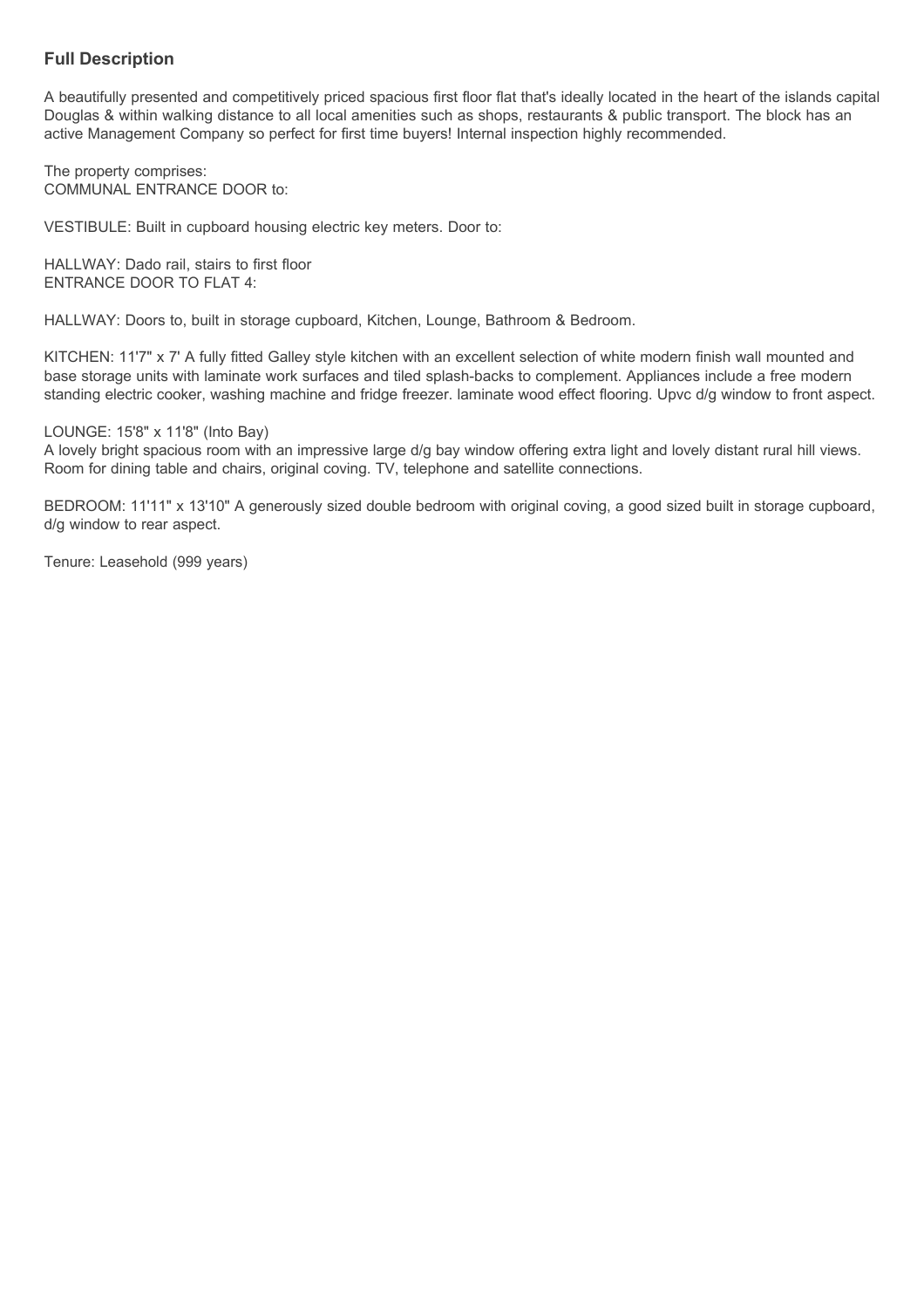#### **Full Description**

A beautifully presented and competitively priced spacious first floor flat that's ideally located in the heart of the islands capital Douglas & within walking distance to all local amenities such as shops, restaurants & public transport. The block has an active Management Company so perfect for first time buyers! Internal inspection highly recommended.

The property comprises: COMMUNAL ENTRANCE DOOR to:

VESTIBULE: Built in cupboard housing electric key meters. Door to:

HALLWAY: Dado rail, stairs to first floor ENTRANCE DOOR TO FLAT 4:

HALLWAY: Doors to, built in storage cupboard, Kitchen, Lounge, Bathroom & Bedroom.

KITCHEN: 11'7" x 7' A fully fitted Galley style kitchen with an excellent selection of white modern finish wall mounted and base storage units with laminate work surfaces and tiled splash-backs to complement. Appliances include a free modern standing electric cooker, washing machine and fridge freezer. laminate wood effect flooring. Upvc d/g window to front aspect.

#### LOUNGE: 15'8" x 11'8" (Into Bay)

A lovely bright spacious room with an impressive large d/g bay window offering extra light and lovely distant rural hill views. Room for dining table and chairs, original coving. TV, telephone and satellite connections.

BEDROOM: 11'11" x 13'10" A generously sized double bedroom with original coving, a good sized built in storage cupboard, d/g window to rear aspect.

Tenure: Leasehold (999 years)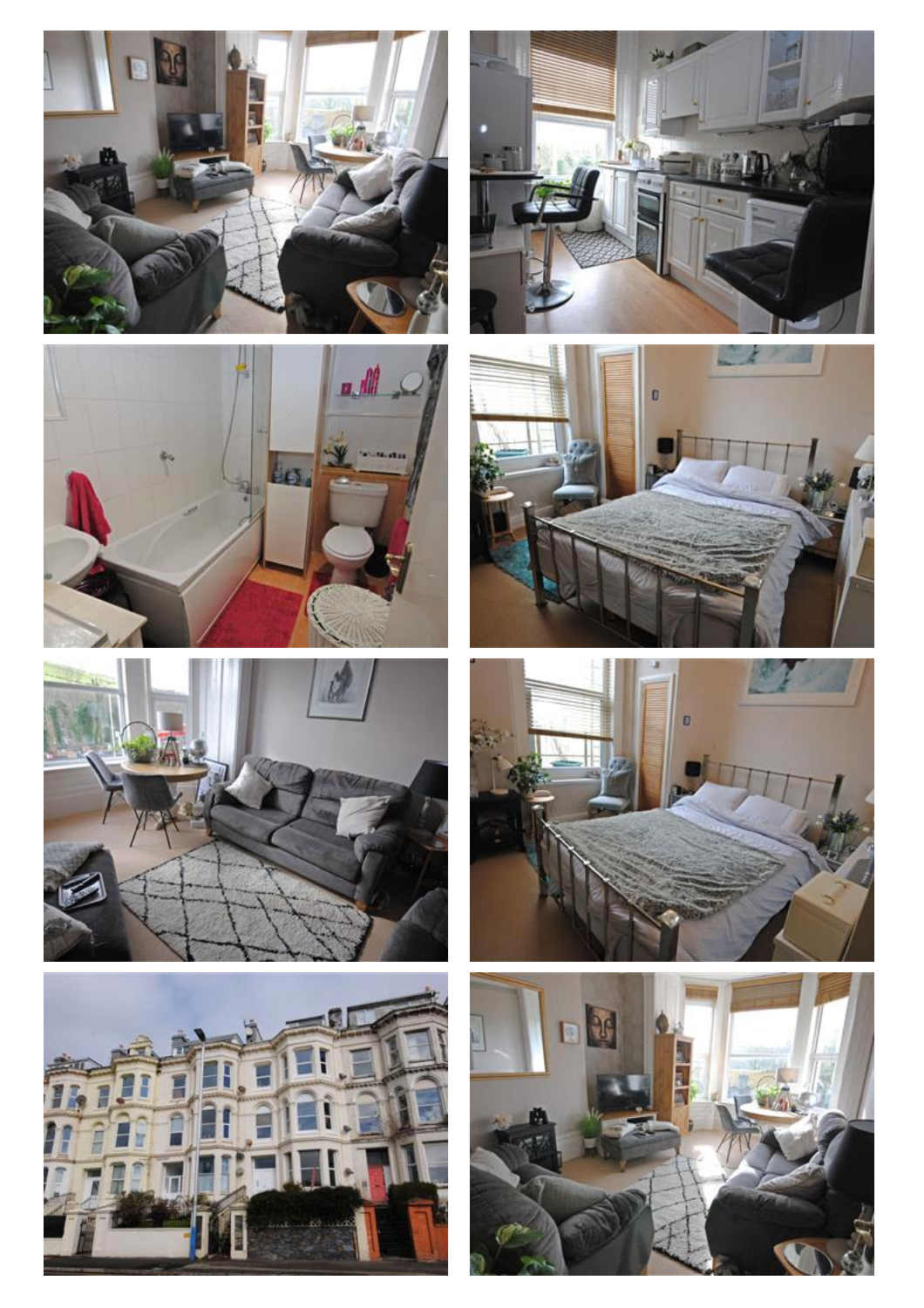